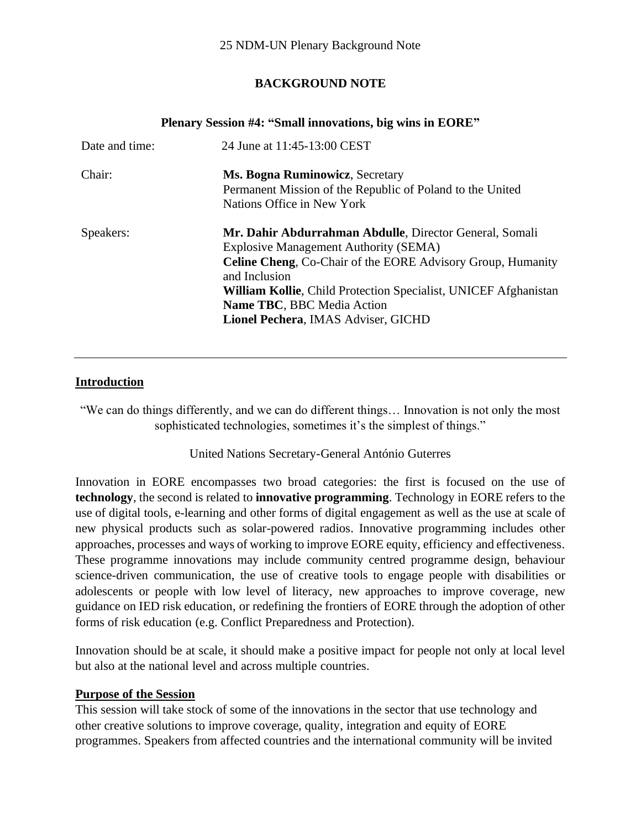# **BACKGROUND NOTE**

| I ICHAI V SCSSIOII $\pi$ 4. SHIAH HIIIOVALIOIIS, DIE WIIIS III EORE |                                                                                                                                                                                                                                                                                                                                        |  |
|---------------------------------------------------------------------|----------------------------------------------------------------------------------------------------------------------------------------------------------------------------------------------------------------------------------------------------------------------------------------------------------------------------------------|--|
| Date and time:                                                      | 24 June at 11:45-13:00 CEST                                                                                                                                                                                                                                                                                                            |  |
| Chair:                                                              | <b>Ms. Bogna Ruminowicz</b> , Secretary<br>Permanent Mission of the Republic of Poland to the United<br>Nations Office in New York                                                                                                                                                                                                     |  |
| Speakers:                                                           | Mr. Dahir Abdurrahman Abdulle, Director General, Somali<br><b>Explosive Management Authority (SEMA)</b><br><b>Celine Cheng, Co-Chair of the EORE Advisory Group, Humanity</b><br>and Inclusion<br>William Kollie, Child Protection Specialist, UNICEF Afghanistan<br>Name TBC, BBC Media Action<br>Lionel Pechera, IMAS Adviser, GICHD |  |

#### **Plenary Session #4: "Small innovations, big wins in EORE"**

### **Introduction**

"We can do things differently, and we can do different things… Innovation is not only the most sophisticated technologies, sometimes it's the simplest of things."

#### United Nations Secretary-General António Guterres

Innovation in EORE encompasses two broad categories: the first is focused on the use of **technology**, the second is related to **innovative programming**. Technology in EORE refers to the use of digital tools, e-learning and other forms of digital engagement as well as the use at scale of new physical products such as solar-powered radios. Innovative programming includes other approaches, processes and ways of working to improve EORE equity, efficiency and effectiveness. These programme innovations may include community centred programme design, behaviour science-driven communication, the use of creative tools to engage people with disabilities or adolescents or people with low level of literacy, new approaches to improve coverage, new guidance on IED risk education, or redefining the frontiers of EORE through the adoption of other forms of risk education (e.g. Conflict Preparedness and Protection).

Innovation should be at scale, it should make a positive impact for people not only at local level but also at the national level and across multiple countries.

#### **Purpose of the Session**

This session will take stock of some of the innovations in the sector that use technology and other creative solutions to improve coverage, quality, integration and equity of EORE programmes. Speakers from affected countries and the international community will be invited